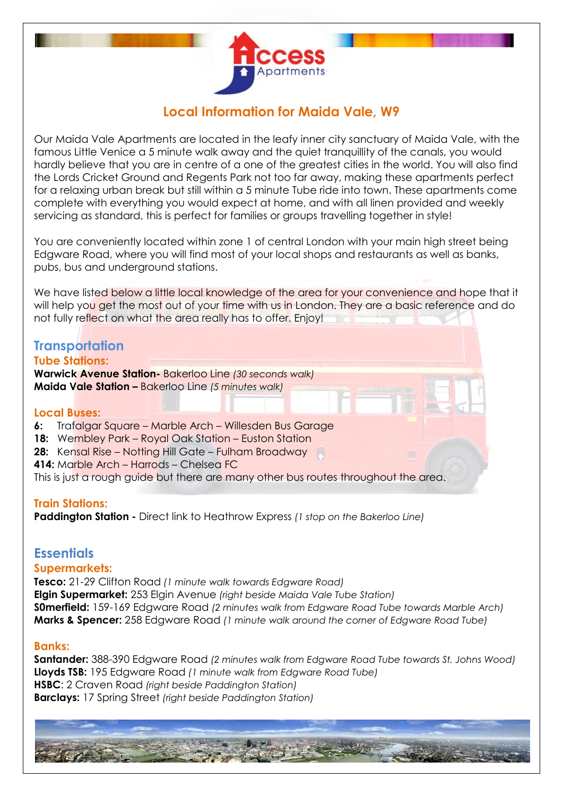

# **Local Information for Maida Vale, W9**

Our Maida Vale Apartments are located in the leafy inner city sanctuary of Maida Vale, with the famous Little Venice a 5 minute walk away and the quiet tranquillity of the canals, you would hardly believe that you are in centre of a one of the greatest cities in the world. You will also find the Lords Cricket Ground and Regents Park not too far away, making these apartments perfect for a relaxing urban break but still within a 5 minute Tube ride into town. These apartments come complete with everything you would expect at home, and with all linen provided and weekly servicing as standard, this is perfect for families or groups travelling together in style!

You are conveniently located within zone 1 of central London with your main high street being Edgware Road, where you will find most of your local shops and restaurants as well as banks, pubs, bus and underground stations.

We have listed below a little local knowledge of the area for your convenience and hope that it will help you get the most out of your time with us in London. They are a basic reference and do not fully reflect on what the area really has to offer. Enjoy!

# **Transportation**

**Tube Stations: Warwick Avenue Station-** Bakerloo Line *(30 seconds walk)* **Maida Vale Station –** Bakerloo Line *(5 minutes walk)*

#### **Local Buses:**

- **6:** Trafalgar Square Marble Arch Willesden Bus Garage
- **18:** Wembley Park Royal Oak Station Euston Station
- **28:** Kensal Rise Notting Hill Gate Fulham Broadway
- **414:** Marble Arch Harrods Chelsea FC

This is just a rough quide but there are many other bus routes throughout the area.

### **Train Stations:**

**Paddington Station -** Direct link to Heathrow Express *(1 stop on the Bakerloo Line)*

### **Essentials**

### **Supermarkets:**

**Tesco:** 21-29 Clifton Road *(1 minute walk towards Edgware Road)* **Elgin Supermarket:** 253 Elgin Avenue *(right beside Maida Vale Tube Station)* **S0merfield:** 159-169 Edgware Road *(2 minutes walk from Edgware Road Tube towards Marble Arch)* **Marks & Spencer:** 258 Edgware Road *(1 minute walk around the corner of Edgware Road Tube)*

### **Banks:**

**Santander:** 388-390 Edgware Road *(2 minutes walk from Edgware Road Tube towards St. Johns Wood)* **Lloyds TSB:** 195 Edgware Road *(1 minute walk from Edgware Road Tube)* **HSBC**: 2 Craven Road *(right beside Paddington Station)* **Barclays:** 17 Spring Street *(right beside Paddington Station)*

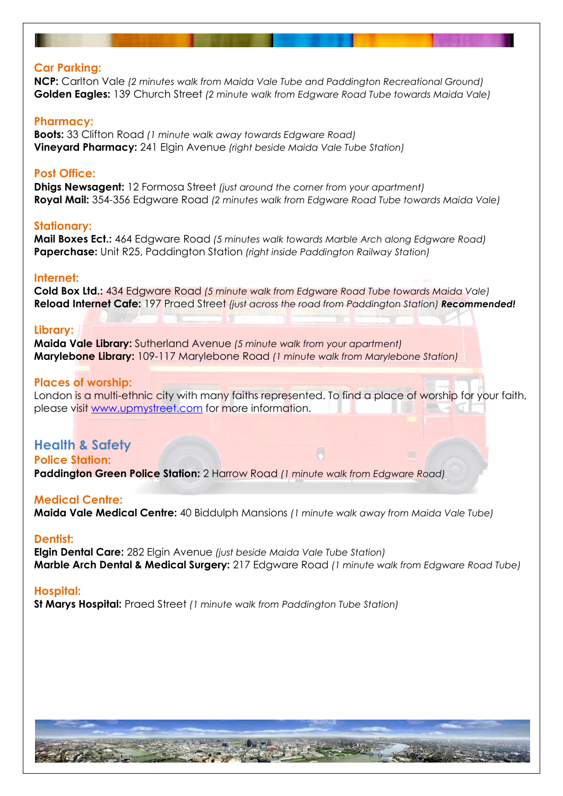#### **Car Parking:**

**NCP:** Carlton Vale *(2 minutes walk from Maida Vale Tube and Paddington Recreational Ground)* **Golden Eagles:** 139 Church Street *(2 minute walk from Edgware Road Tube towards Maida Vale)*

#### **Pharmacy:**

**Boots:** 33 Clifton Road *(1 minute walk away towards Edgware Road)* **Vineyard Pharmacy:** 241 Elgin Avenue *(right beside Maida Vale Tube Station)*

#### **Post Office:**

**Dhigs Newsagent:** 12 Formosa Street *(just around the corner from your apartment)* **Royal Mail:** 354-356 Edgware Road *(2 minutes walk from Edgware Road Tube towards Maida Vale)*

#### **Stationary:**

**Mail Boxes Ect.:** 464 Edgware Road *(5 minutes walk towards Marble Arch along Edgware Road)* **Paperchase:** Unit R25, Paddington Station *(right inside Paddington Railway Station)*

#### **Internet:**

**Cold Box Ltd.:** 434 Edgware Road *(5 minute walk from Edgware Road Tube towards Maida Vale)* **Reload Internet Cafe:** 197 Praed Street *(just across the road from Paddington Station) Recommended!*

#### **Library:**

**Maida Vale Library:** Sutherland Avenue *(5 minute walk from your apartment)* **Marylebone Library:** 109-117 Marylebone Road *(1 minute walk from Marylebone Station)*

#### **Places of worship:**

London is a multi-ethnic city with many faiths represented. To find a place of worship for your faith, please visit [www.upmystreet.com](http://www.upmystreet.com/) for more information.

### **Health & Safety**

**Police Station: Paddington Green Police Station:** 2 Harrow Road *(1 minute walk from Edgware Road)* 

#### **Medical Centre:**

**Maida Vale Medical Centre:** 40 Biddulph Mansions *(1 minute walk away from Maida Vale Tube)*

#### **Dentist:**

**Elgin Dental Care:** 282 Elgin Avenue *(just beside Maida Vale Tube Station)* **Marble Arch Dental & Medical Surgery:** 217 Edgware Road *(1 minute walk from Edgware Road Tube)*

#### **Hospital:**

**St Marys Hospital:** Praed Street *(1 minute walk from Paddington Tube Station)*